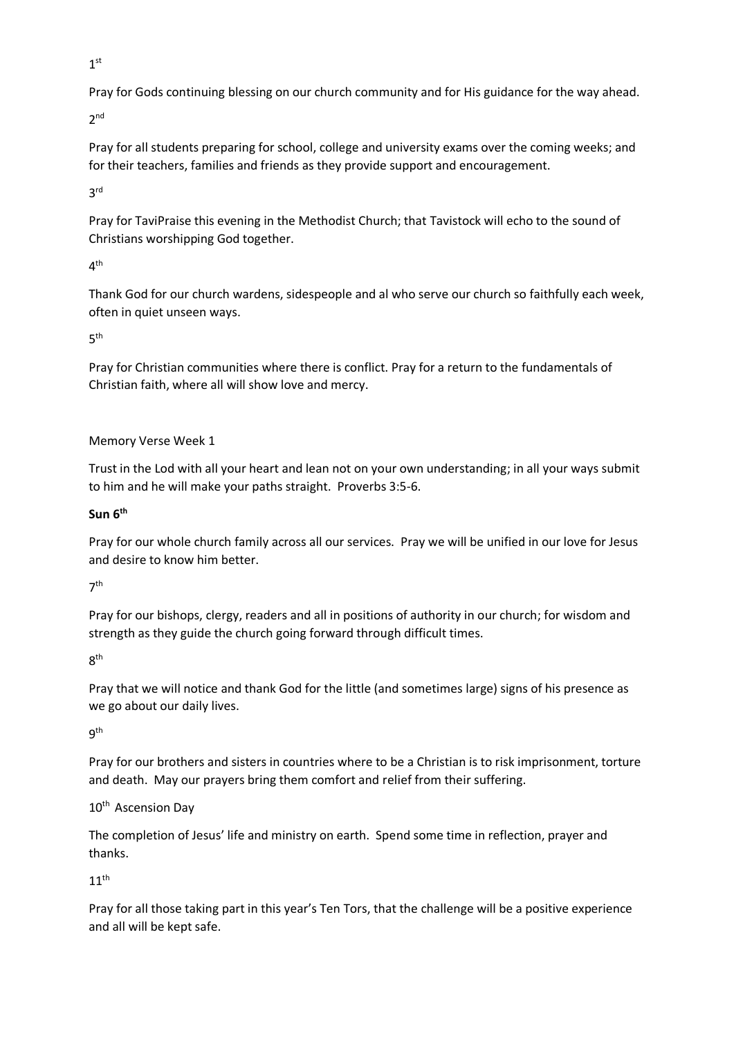$1<sup>st</sup>$ 

Pray for Gods continuing blessing on our church community and for His guidance for the way ahead.

2 nd

Pray for all students preparing for school, college and university exams over the coming weeks; and for their teachers, families and friends as they provide support and encouragement.

3 rd

Pray for TaviPraise this evening in the Methodist Church; that Tavistock will echo to the sound of Christians worshipping God together.

## $4<sup>th</sup>$

Thank God for our church wardens, sidespeople and al who serve our church so faithfully each week, often in quiet unseen ways.

 $5<sup>th</sup>$ 

Pray for Christian communities where there is conflict. Pray for a return to the fundamentals of Christian faith, where all will show love and mercy.

Memory Verse Week 1

Trust in the Lod with all your heart and lean not on your own understanding; in all your ways submit to him and he will make your paths straight. Proverbs 3:5-6.

## **Sun 6th**

Pray for our whole church family across all our services. Pray we will be unified in our love for Jesus and desire to know him better.

7 th

Pray for our bishops, clergy, readers and all in positions of authority in our church; for wisdom and strength as they guide the church going forward through difficult times.

8 th

Pray that we will notice and thank God for the little (and sometimes large) signs of his presence as we go about our daily lives.

9 th

Pray for our brothers and sisters in countries where to be a Christian is to risk imprisonment, torture and death. May our prayers bring them comfort and relief from their suffering.

10<sup>th</sup> Ascension Dav

The completion of Jesus' life and ministry on earth. Spend some time in reflection, prayer and thanks.

 $11<sup>th</sup>$ 

Pray for all those taking part in this year's Ten Tors, that the challenge will be a positive experience and all will be kept safe.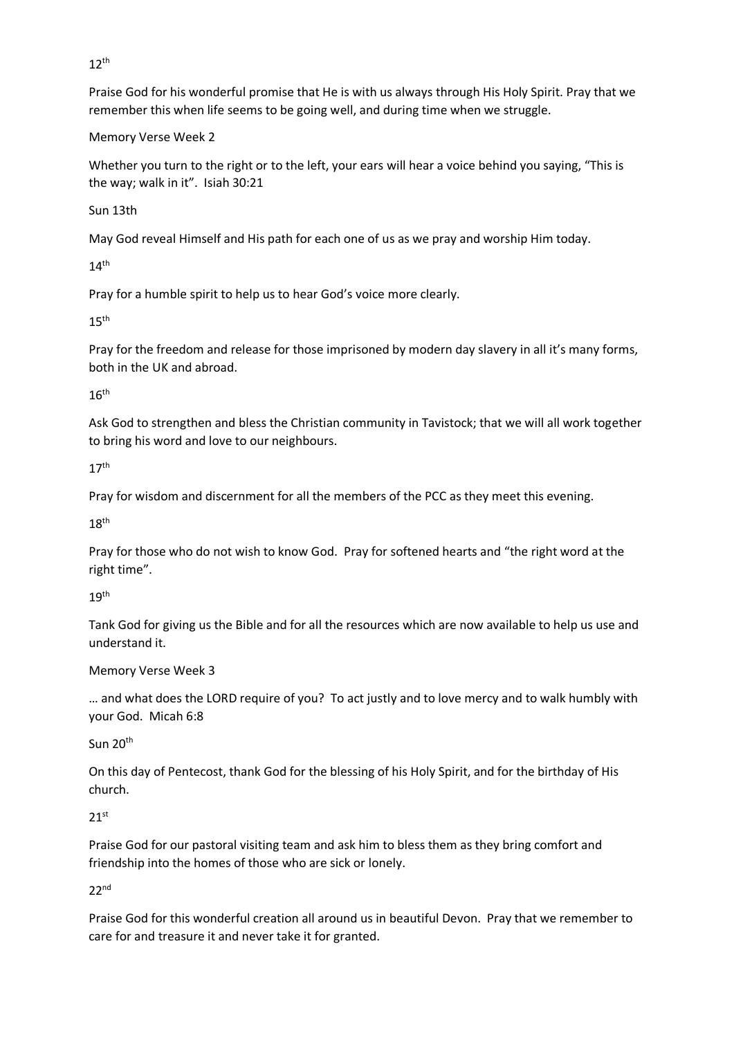$12<sup>th</sup>$ 

Praise God for his wonderful promise that He is with us always through His Holy Spirit. Pray that we remember this when life seems to be going well, and during time when we struggle.

Memory Verse Week 2

Whether you turn to the right or to the left, your ears will hear a voice behind you saying, "This is the way; walk in it". Isiah 30:21

Sun 13th

May God reveal Himself and His path for each one of us as we pray and worship Him today.

 $14<sup>th</sup>$ 

Pray for a humble spirit to help us to hear God's voice more clearly.

 $15<sup>th</sup>$ 

Pray for the freedom and release for those imprisoned by modern day slavery in all it's many forms, both in the UK and abroad.

 $16<sup>th</sup>$ 

Ask God to strengthen and bless the Christian community in Tavistock; that we will all work together to bring his word and love to our neighbours.

17th

Pray for wisdom and discernment for all the members of the PCC as they meet this evening.

 $18<sup>th</sup>$ 

Pray for those who do not wish to know God. Pray for softened hearts and "the right word at the right time".

19th

Tank God for giving us the Bible and for all the resources which are now available to help us use and understand it.

Memory Verse Week 3

… and what does the LORD require of you? To act justly and to love mercy and to walk humbly with your God. Micah 6:8

Sun 20<sup>th</sup>

On this day of Pentecost, thank God for the blessing of his Holy Spirit, and for the birthday of His church.

## $21<sup>st</sup>$

Praise God for our pastoral visiting team and ask him to bless them as they bring comfort and friendship into the homes of those who are sick or lonely.

 $22<sub>nd</sub>$ 

Praise God for this wonderful creation all around us in beautiful Devon. Pray that we remember to care for and treasure it and never take it for granted.